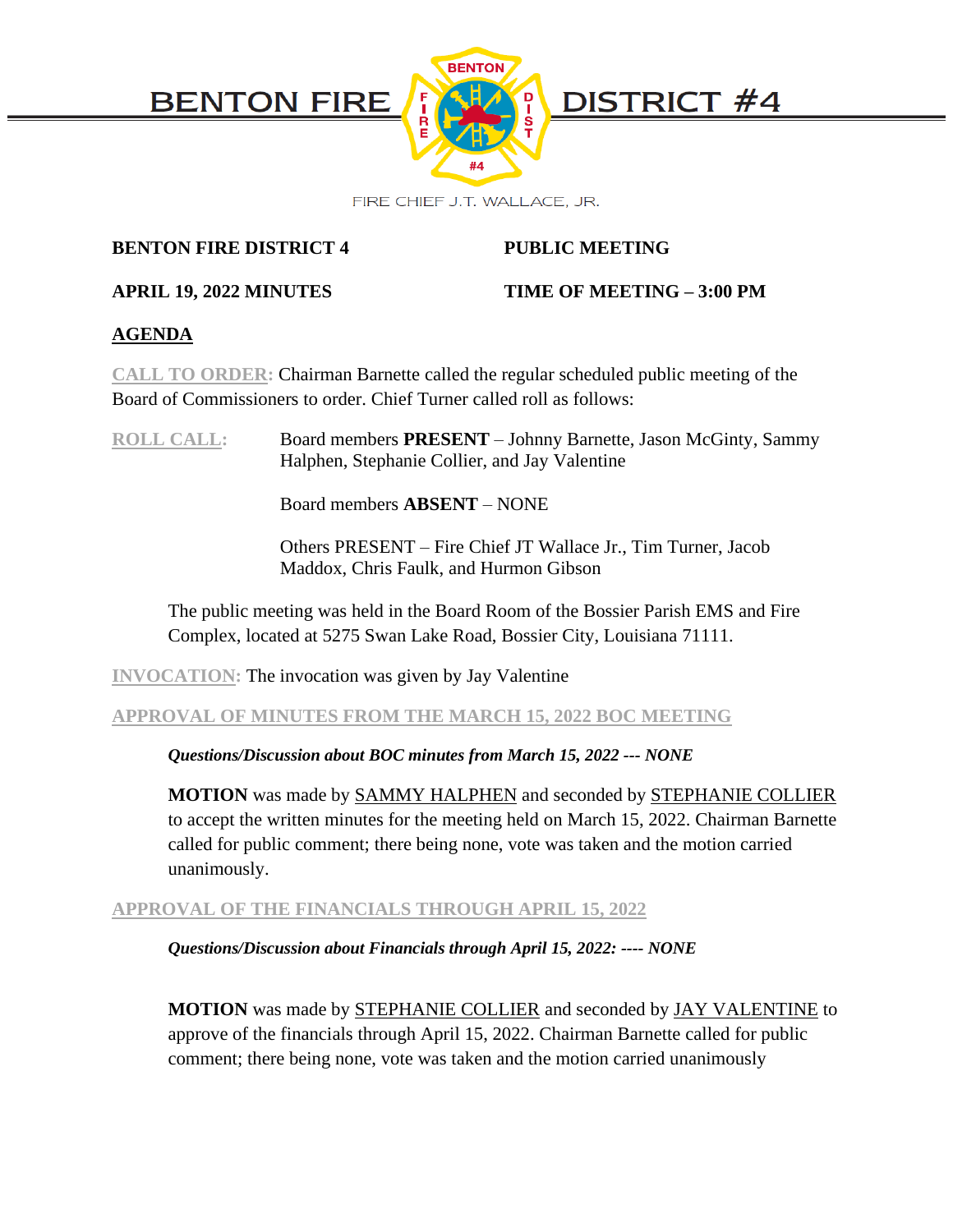

# **BENTON FIRE DISTRICT 4 PUBLIC MEETING**

# **APRIL 19, 2022 MINUTES TIME OF MEETING – 3:00 PM**

# **AGENDA**

**CALL TO ORDER:** Chairman Barnette called the regular scheduled public meeting of the Board of Commissioners to order. Chief Turner called roll as follows:

**ROLL CALL:** Board members **PRESENT** – Johnny Barnette, Jason McGinty, Sammy Halphen, Stephanie Collier, and Jay Valentine

Board members **ABSENT** – NONE

Others PRESENT – Fire Chief JT Wallace Jr., Tim Turner, Jacob Maddox, Chris Faulk, and Hurmon Gibson

The public meeting was held in the Board Room of the Bossier Parish EMS and Fire Complex, located at 5275 Swan Lake Road, Bossier City, Louisiana 71111.

**INVOCATION:** The invocation was given by Jay Valentine

# **APPROVAL OF MINUTES FROM THE MARCH 15, 2022 BOC MEETING**

# *Questions/Discussion about BOC minutes from March 15, 2022 --- NONE*

**MOTION** was made by SAMMY HALPHEN and seconded by STEPHANIE COLLIER to accept the written minutes for the meeting held on March 15, 2022. Chairman Barnette called for public comment; there being none, vote was taken and the motion carried unanimously.

# **APPROVAL OF THE FINANCIALS THROUGH APRIL 15, 2022**

*Questions/Discussion about Financials through April 15, 2022: ---- NONE*

**MOTION** was made by STEPHANIE COLLIER and seconded by JAY VALENTINE to approve of the financials through April 15, 2022. Chairman Barnette called for public comment; there being none, vote was taken and the motion carried unanimously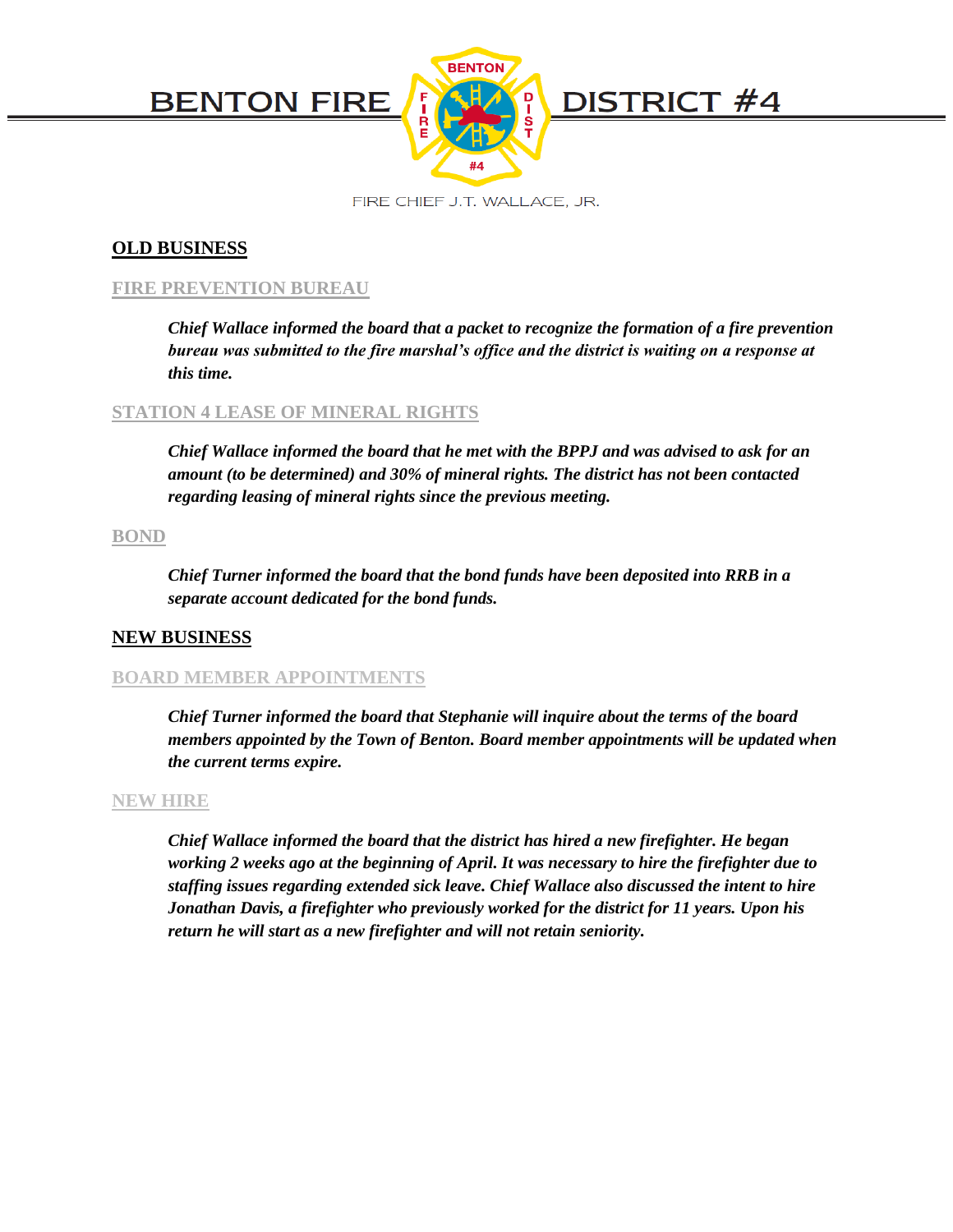

FIRE CHIEF J.T. WALLACE, JR.

# **OLD BUSINESS**

### **FIRE PREVENTION BUREAU**

*Chief Wallace informed the board that a packet to recognize the formation of a fire prevention bureau was submitted to the fire marshal's office and the district is waiting on a response at this time.* 

#### **STATION 4 LEASE OF MINERAL RIGHTS**

*Chief Wallace informed the board that he met with the BPPJ and was advised to ask for an amount (to be determined) and 30% of mineral rights. The district has not been contacted regarding leasing of mineral rights since the previous meeting.* 

#### **BOND**

*Chief Turner informed the board that the bond funds have been deposited into RRB in a separate account dedicated for the bond funds.*

#### **NEW BUSINESS**

#### **BOARD MEMBER APPOINTMENTS**

*Chief Turner informed the board that Stephanie will inquire about the terms of the board members appointed by the Town of Benton. Board member appointments will be updated when the current terms expire.*

#### **NEW HIRE**

*Chief Wallace informed the board that the district has hired a new firefighter. He began working 2 weeks ago at the beginning of April. It was necessary to hire the firefighter due to staffing issues regarding extended sick leave. Chief Wallace also discussed the intent to hire Jonathan Davis, a firefighter who previously worked for the district for 11 years. Upon his return he will start as a new firefighter and will not retain seniority.*